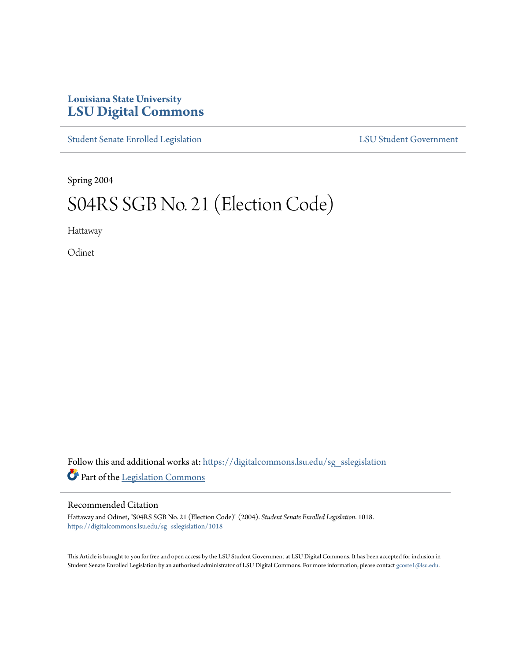## **Louisiana State University [LSU Digital Commons](https://digitalcommons.lsu.edu?utm_source=digitalcommons.lsu.edu%2Fsg_sslegislation%2F1018&utm_medium=PDF&utm_campaign=PDFCoverPages)**

[Student Senate Enrolled Legislation](https://digitalcommons.lsu.edu/sg_sslegislation?utm_source=digitalcommons.lsu.edu%2Fsg_sslegislation%2F1018&utm_medium=PDF&utm_campaign=PDFCoverPages) [LSU Student Government](https://digitalcommons.lsu.edu/sg?utm_source=digitalcommons.lsu.edu%2Fsg_sslegislation%2F1018&utm_medium=PDF&utm_campaign=PDFCoverPages)

Spring 2004

# S04RS SGB No. 21 (Election Code)

Hattaway

**Odinet** 

Follow this and additional works at: [https://digitalcommons.lsu.edu/sg\\_sslegislation](https://digitalcommons.lsu.edu/sg_sslegislation?utm_source=digitalcommons.lsu.edu%2Fsg_sslegislation%2F1018&utm_medium=PDF&utm_campaign=PDFCoverPages) Part of the [Legislation Commons](http://network.bepress.com/hgg/discipline/859?utm_source=digitalcommons.lsu.edu%2Fsg_sslegislation%2F1018&utm_medium=PDF&utm_campaign=PDFCoverPages)

#### Recommended Citation

Hattaway and Odinet, "S04RS SGB No. 21 (Election Code)" (2004). *Student Senate Enrolled Legislation*. 1018. [https://digitalcommons.lsu.edu/sg\\_sslegislation/1018](https://digitalcommons.lsu.edu/sg_sslegislation/1018?utm_source=digitalcommons.lsu.edu%2Fsg_sslegislation%2F1018&utm_medium=PDF&utm_campaign=PDFCoverPages)

This Article is brought to you for free and open access by the LSU Student Government at LSU Digital Commons. It has been accepted for inclusion in Student Senate Enrolled Legislation by an authorized administrator of LSU Digital Commons. For more information, please contact [gcoste1@lsu.edu.](mailto:gcoste1@lsu.edu)